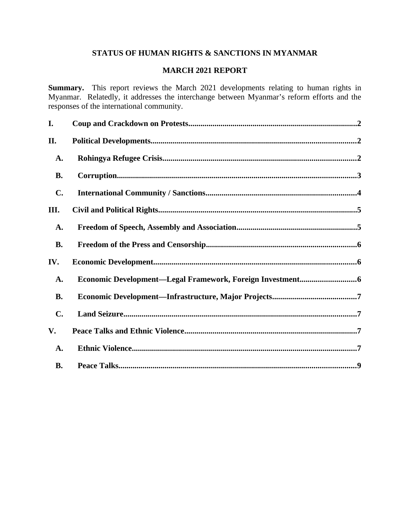# **STATUS OF HUMAN RIGHTS & SANCTIONS IN MYANMAR**

# **MARCH 2021 REPORT**

**Summary.** This report reviews the March 2021 developments relating to human rights in Myanmar. Relatedly, it addresses the interchange between Myanmar's reform efforts and the responses of the international community.

| I.             |  |
|----------------|--|
| II.            |  |
| A.             |  |
| <b>B.</b>      |  |
| C.             |  |
| III.           |  |
| A.             |  |
| <b>B.</b>      |  |
| IV.            |  |
| A.             |  |
| <b>B.</b>      |  |
| $\mathbf{C}$ . |  |
| V.             |  |
| A.             |  |
| <b>B.</b>      |  |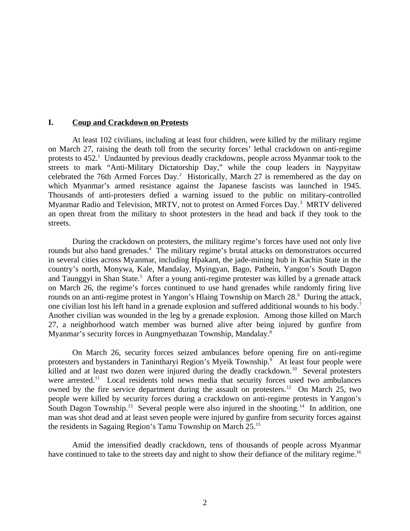#### <span id="page-1-0"></span>**I. Coup and Crackdown on Protests**

At least 102 civilians, including at least four children, were killed by the military regime on March 27, raising the death toll from the security forces' lethal crackdown on anti-regime protests to  $452<sup>1</sup>$  Undaunted by previous deadly crackdowns, people across Myanmar took to the streets to mark "Anti-Military Dictatorship Day," while the coup leaders in Naypyitaw celebrated the 76th Armed Forces Day.<sup>2</sup> Historically, March 27 is remembered as the day on which Myanmar's armed resistance against the Japanese fascists was launched in 1945. Thousands of anti-protesters defied a warning issued to the public on military-controlled Myanmar Radio and Television, MRTV, not to protest on Armed Forces Day.<sup>3</sup> MRTV delivered an open threat from the military to shoot protesters in the head and back if they took to the streets.

During the crackdown on protesters, the military regime's forces have used not only live rounds but also hand grenades.<sup>4</sup> The military regime's brutal attacks on demonstrators occurred in several cities across Myanmar, including Hpakant, the jade-mining hub in Kachin State in the country's north, Monywa, Kale, Mandalay, Myingyan, Bago, Pathein, Yangon's South Dagon and Taunggyi in Shan State.<sup>5</sup> After a young anti-regime protester was killed by a grenade attack on March 26, the regime's forces continued to use hand grenades while randomly firing live rounds on an anti-regime protest in Yangon's Hlaing Township on March 28.<sup>6</sup> During the attack, one civilian lost his left hand in a grenade explosion and suffered additional wounds to his body.<sup>7</sup> Another civilian was wounded in the leg by a grenade explosion. Among those killed on March 27, a neighborhood watch member was burned alive after being injured by gunfire from Myanmar's security forces in Aungmyethazan Township, Mandalay.<sup>8</sup>

On March 26, security forces seized ambulances before opening fire on anti-regime protesters and bystanders in Tanintharyi Region's Myeik Township.<sup>9</sup> At least four people were killed and at least two dozen were injured during the deadly crackdown.<sup>10</sup> Several protesters were arrested.<sup>11</sup> Local residents told news media that security forces used two ambulances owned by the fire service department during the assault on protesters.<sup>12</sup> On March 25, two people were killed by security forces during a crackdown on anti-regime protests in Yangon's South Dagon Township.<sup>13</sup> Several people were also injured in the shooting.<sup>14</sup> In addition, one man was shot dead and at least seven people were injured by gunfire from security forces against the residents in Sagaing Region's Tamu Township on March 25.<sup>15</sup>

Amid the intensified deadly crackdown, tens of thousands of people across Myanmar have continued to take to the streets day and night to show their defiance of the military regime.<sup>16</sup>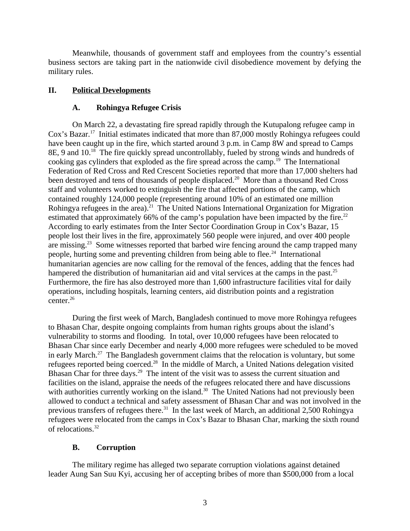Meanwhile, thousands of government staff and employees from the country's essential business sectors are taking part in the nationwide civil disobedience movement by defying the military rules.

# **II. Political Developments**

# <span id="page-2-2"></span><span id="page-2-1"></span>**A. Rohingya Refugee Crisis**

On March 22, a devastating fire spread rapidly through the Kutupalong refugee camp in Cox's Bazar.<sup>17</sup> Initial estimates indicated that more than 87,000 mostly Rohingya refugees could have been caught up in the fire, which started around 3 p.m. in Camp 8W and spread to Camps 8E, 9 and 10.<sup>18</sup> The fire quickly spread uncontrollably, fueled by strong winds and hundreds of cooking gas cylinders that exploded as the fire spread across the camp.<sup>19</sup> The International Federation of Red Cross and Red Crescent Societies reported that more than 17,000 shelters had been destroyed and tens of thousands of people displaced.<sup>20</sup> More than a thousand Red Cross staff and volunteers worked to extinguish the fire that affected portions of the camp, which contained roughly 124,000 people (representing around 10% of an estimated one million Rohingya refugees in the area).<sup>21</sup> The United Nations International Organization for Migration estimated that approximately 66% of the camp's population have been impacted by the fire.<sup>22</sup> According to early estimates from the Inter Sector Coordination Group in Cox's Bazar, 15 people lost their lives in the fire, approximately 560 people were injured, and over 400 people are missing.<sup>23</sup> Some witnesses reported that barbed wire fencing around the camp trapped many people, hurting some and preventing children from being able to flee.<sup>24</sup> International humanitarian agencies are now calling for the removal of the fences, adding that the fences had hampered the distribution of humanitarian aid and vital services at the camps in the past. $^{25}$ Furthermore, the fire has also destroyed more than 1,600 infrastructure facilities vital for daily operations, including hospitals, learning centers, aid distribution points and a registration center.<sup>26</sup>

During the first week of March, Bangladesh continued to move more Rohingya refugees to Bhasan Char, despite ongoing complaints from human rights groups about the island's vulnerability to storms and flooding. In total, over 10,000 refugees have been relocated to Bhasan Char since early December and nearly 4,000 more refugees were scheduled to be moved in early March.<sup>27</sup> The Bangladesh government claims that the relocation is voluntary, but some refugees reported being coerced.<sup>28</sup> In the middle of March, a United Nations delegation visited Bhasan Char for three days.<sup>29</sup> The intent of the visit was to assess the current situation and facilities on the island, appraise the needs of the refugees relocated there and have discussions with authorities currently working on the island.<sup>30</sup> The United Nations had not previously been allowed to conduct a technical and safety assessment of Bhasan Char and was not involved in the previous transfers of refugees there.<sup>31</sup> In the last week of March, an additional 2,500 Rohingya refugees were relocated from the camps in Cox's Bazar to Bhasan Char, marking the sixth round of relocations.<sup>32</sup>

# <span id="page-2-0"></span>**B. Corruption**

The military regime has alleged two separate corruption violations against detained leader Aung San Suu Kyi, accusing her of accepting bribes of more than \$500,000 from a local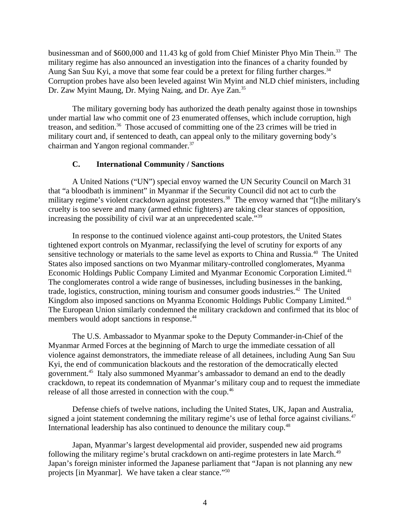businessman and of \$600,000 and 11.43 kg of gold from Chief Minister Phyo Min Thein.<sup>33</sup> The military regime has also announced an investigation into the finances of a charity founded by Aung San Suu Kyi, a move that some fear could be a pretext for filing further charges. $34$ Corruption probes have also been leveled against Win Myint and NLD chief ministers, including Dr. Zaw Myint Maung, Dr. Mying Naing, and Dr. Aye Zan.<sup>35</sup>

The military governing body has authorized the death penalty against those in townships under martial law who commit one of 23 enumerated offenses, which include corruption, high treason, and sedition.<sup>36</sup> Those accused of committing one of the 23 crimes will be tried in military court and, if sentenced to death, can appeal only to the military governing body's chairman and Yangon regional commander.<sup>37</sup>

### <span id="page-3-0"></span>**C. International Community / Sanctions**

A United Nations ("UN") special envoy warned the UN Security Council on March 31 that "a bloodbath is imminent" in Myanmar if the Security Council did not act to curb the military regime's violent crackdown against protesters.<sup>38</sup> The envoy warned that "[t]he military's cruelty is too severe and many (armed ethnic fighters) are taking clear stances of opposition, increasing the possibility of civil war at an unprecedented scale."<sup>39</sup>

In response to the continued violence against anti-coup protestors, the United States tightened export controls on Myanmar, reclassifying the level of scrutiny for exports of any sensitive technology or materials to the same level as exports to China and Russia.<sup>40</sup> The United States also imposed sanctions on two Myanmar military-controlled conglomerates, Myanma Economic Holdings Public Company Limited and Myanmar Economic Corporation Limited.<sup>41</sup> The conglomerates control a wide range of businesses, including businesses in the banking, trade, logistics, construction, mining tourism and consumer goods industries.<sup>42</sup> The United Kingdom also imposed sanctions on Myanma Economic Holdings Public Company Limited.<sup>43</sup> The European Union similarly condemned the military crackdown and confirmed that its bloc of members would adopt sanctions in response.<sup>44</sup>

The U.S. Ambassador to Myanmar spoke to the Deputy Commander-in-Chief of the Myanmar Armed Forces at the beginning of March to urge the immediate cessation of all violence against demonstrators, the immediate release of all detainees, including Aung San Suu Kyi, the end of communication blackouts and the restoration of the democratically elected government.<sup>45</sup> Italy also summoned Myanmar's ambassador to demand an end to the deadly crackdown, to repeat its condemnation of Myanmar's military coup and to request the immediate release of all those arrested in connection with the coup.<sup>46</sup>

Defense chiefs of twelve nations, including the United States, UK, Japan and Australia, signed a joint statement condemning the military regime's use of lethal force against civilians.<sup>47</sup> International leadership has also continued to denounce the military coup.<sup>48</sup>

Japan, Myanmar's largest developmental aid provider, suspended new aid programs following the military regime's brutal crackdown on anti-regime protesters in late March.<sup>49</sup> Japan's foreign minister informed the Japanese parliament that "Japan is not planning any new projects [in Myanmar]. We have taken a clear stance."<sup>50</sup>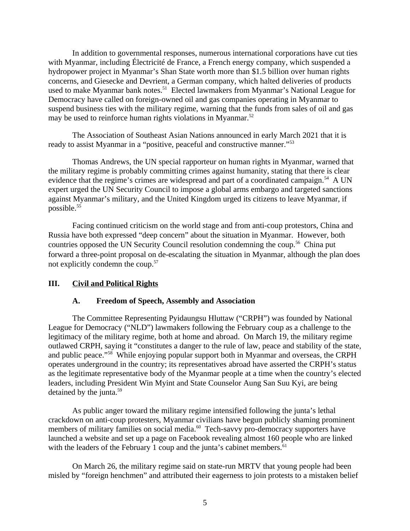In addition to governmental responses, numerous international corporations have cut ties with Myanmar, including Électricité de France, a French energy company, which suspended a hydropower project in Myanmar's Shan State worth more than \$1.5 billion over human rights concerns, and Giesecke and Devrient, a German company, which halted deliveries of products used to make Myanmar bank notes.<sup>51</sup> Elected lawmakers from Myanmar's National League for Democracy have called on foreign-owned oil and gas companies operating in Myanmar to suspend business ties with the military regime, warning that the funds from sales of oil and gas may be used to reinforce human rights violations in Myanmar. $52$ 

The Association of Southeast Asian Nations announced in early March 2021 that it is ready to assist Myanmar in a "positive, peaceful and constructive manner."<sup>53</sup>

Thomas Andrews, the UN special rapporteur on human rights in Myanmar, warned that the military regime is probably committing crimes against humanity, stating that there is clear evidence that the regime's crimes are widespread and part of a coordinated campaign.<sup>54</sup> A UN expert urged the UN Security Council to impose a global arms embargo and targeted sanctions against Myanmar's military, and the United Kingdom urged its citizens to leave Myanmar, if possible.<sup>55</sup>

Facing continued criticism on the world stage and from anti-coup protestors, China and Russia have both expressed "deep concern" about the situation in Myanmar. However, both countries opposed the UN Security Council resolution condemning the coup.<sup>56</sup> China put forward a three-point proposal on de-escalating the situation in Myanmar, although the plan does not explicitly condemn the coup.<sup>57</sup>

### **III. Civil and Political Rights**

### <span id="page-4-1"></span><span id="page-4-0"></span>**A. Freedom of Speech, Assembly and Association**

The Committee Representing Pyidaungsu Hluttaw ("CRPH") was founded by National League for Democracy ("NLD") lawmakers following the February coup as a challenge to the legitimacy of the military regime, both at home and abroad. On March 19, the military regime outlawed CRPH, saying it "constitutes a danger to the rule of law, peace and stability of the state, and public peace."<sup>58</sup> While enjoying popular support both in Myanmar and overseas, the CRPH operates underground in the country; its representatives abroad have asserted the CRPH's status as the legitimate representative body of the Myanmar people at a time when the country's elected leaders, including President Win Myint and State Counselor Aung San Suu Kyi, are being detained by the junta.<sup>59</sup>

As public anger toward the military regime intensified following the junta's lethal crackdown on anti-coup protesters, Myanmar civilians have begun publicly shaming prominent members of military families on social media.<sup>60</sup> Tech-savvy pro-democracy supporters have launched a website and set up a page on Facebook revealing almost 160 people who are linked with the leaders of the February 1 coup and the junta's cabinet members. $61$ 

On March 26, the military regime said on state-run MRTV that young people had been misled by "foreign henchmen" and attributed their eagerness to join protests to a mistaken belief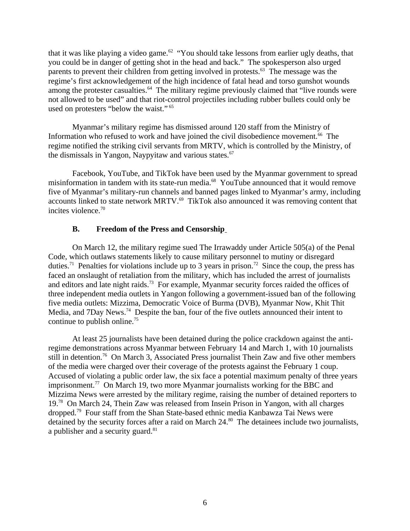that it was like playing a video game.<sup>62</sup> "You should take lessons from earlier ugly deaths, that you could be in danger of getting shot in the head and back." The spokesperson also urged parents to prevent their children from getting involved in protests. $63$  The message was the regime's first acknowledgement of the high incidence of fatal head and torso gunshot wounds among the protester casualties. $64$  The military regime previously claimed that "live rounds were not allowed to be used" and that riot-control projectiles including rubber bullets could only be used on protesters "below the waist." <sup>65</sup>

Myanmar's military regime has dismissed around 120 staff from the Ministry of Information who refused to work and have joined the civil disobedience movement.<sup>66</sup> The regime notified the striking civil servants from MRTV, which is controlled by the Ministry, of the dismissals in Yangon, Naypyitaw and various states. $67$ 

Facebook, YouTube, and TikTok have been used by the Myanmar government to spread misinformation in tandem with its state-run media.<sup>68</sup> YouTube announced that it would remove five of Myanmar's military-run channels and banned pages linked to Myanmar's army, including accounts linked to state network MRTV.<sup>69</sup> TikTok also announced it was removing content that incites violence. $70$ 

### <span id="page-5-0"></span>**B. Freedom of the Press and Censorship**

On March 12, the military regime sued The Irrawaddy under Article 505(a) of the Penal Code, which outlaws statements likely to cause military personnel to mutiny or disregard duties.<sup>71</sup> Penalties for violations include up to 3 years in prison.<sup>72</sup> Since the coup, the press has faced an onslaught of retaliation from the military, which has included the arrest of journalists and editors and late night raids.<sup>73</sup> For example, Myanmar security forces raided the offices of three independent media outlets in Yangon following a government-issued ban of the following five media outlets: Mizzima, Democratic Voice of Burma (DVB), Myanmar Now, Khit Thit Media, and 7Day News.<sup>74</sup> Despite the ban, four of the five outlets announced their intent to continue to publish online.<sup>75</sup>

At least 25 journalists have been detained during the police crackdown against the antiregime demonstrations across Myanmar between February 14 and March 1, with 10 journalists still in detention.<sup>76</sup> On March 3, Associated Press journalist Thein Zaw and five other members of the media were charged over their coverage of the protests against the February 1 coup. Accused of violating a public order law, the six face a potential maximum penalty of three years imprisonment.<sup>77</sup> On March 19, two more Myanmar journalists working for the BBC and Mizzima News were arrested by the military regime, raising the number of detained reporters to 19.<sup>78</sup> On March 24, Thein Zaw was released from Insein Prison in Yangon, with all charges dropped.<sup>79</sup> Four staff from the Shan State-based ethnic media Kanbawza Tai News were detained by the security forces after a raid on March  $24.^{80}$  The detainees include two journalists, a publisher and a security guard. $81$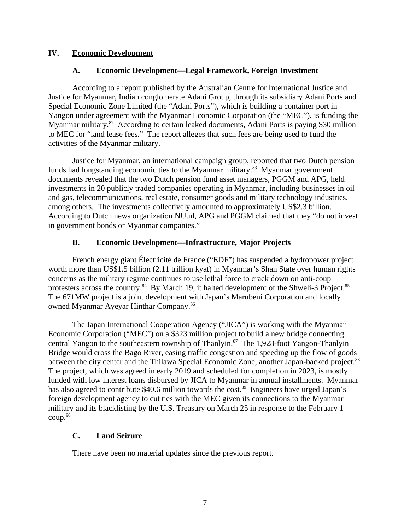### **IV. Economic Development**

### <span id="page-6-3"></span><span id="page-6-2"></span>**A. Economic Development—Legal Framework, Foreign Investment**

According to a report published by the Australian Centre for International Justice and Justice for Myanmar, Indian conglomerate Adani Group, through its subsidiary Adani Ports and Special Economic Zone Limited (the "Adani Ports"), which is building a container port in Yangon under agreement with the Myanmar Economic Corporation (the "MEC"), is funding the Myanmar military.<sup>82</sup> According to certain leaked documents, Adani Ports is paying \$30 million to MEC for "land lease fees." The report alleges that such fees are being used to fund the activities of the Myanmar military.

Justice for Myanmar, an international campaign group, reported that two Dutch pension funds had longstanding economic ties to the Myanmar military.<sup>83</sup> Myanmar government documents revealed that the two Dutch pension fund asset managers, PGGM and APG, held investments in 20 publicly traded companies operating in Myanmar, including businesses in oil and gas, telecommunications, real estate, consumer goods and military technology industries, among others. The investments collectively amounted to approximately US\$2.3 billion. According to Dutch news organization NU.nl, APG and PGGM claimed that they "do not invest in government bonds or Myanmar companies."

### <span id="page-6-1"></span>**B. Economic Development—Infrastructure, Major Projects**

French energy giant Électricité de France ("EDF") has suspended a hydropower project worth more than US\$1.5 billion (2.11 trillion kyat) in Myanmar's Shan State over human rights concerns as the military regime continues to use lethal force to crack down on anti-coup protesters across the country.<sup>84</sup> By March 19, it halted development of the Shweli-3 Project.<sup>85</sup> The 671MW project is a joint development with Japan's Marubeni Corporation and locally owned Myanmar Ayeyar Hinthar Company.<sup>86</sup>

The Japan International Cooperation Agency ("JICA") is working with the Myanmar Economic Corporation ("MEC") on a \$323 million project to build a new bridge connecting central Yangon to the southeastern township of Thanlyin.<sup>87</sup> The 1,928-foot Yangon-Thanlyin Bridge would cross the Bago River, easing traffic congestion and speeding up the flow of goods between the city center and the Thilawa Special Economic Zone, another Japan-backed project.<sup>88</sup> The project, which was agreed in early 2019 and scheduled for completion in 2023, is mostly funded with low interest loans disbursed by JICA to Myanmar in annual installments. Myanmar has also agreed to contribute \$40.6 million towards the cost.<sup>89</sup> Engineers have urged Japan's foreign development agency to cut ties with the MEC given its connections to the Myanmar military and its blacklisting by the U.S. Treasury on March 25 in response to the February 1 coup.<sup>90</sup>

# <span id="page-6-0"></span>**C. Land Seizure**

There have been no material updates since the previous report.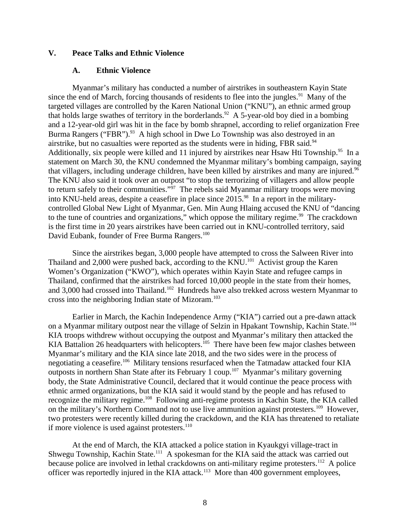### **V. Peace Talks and Ethnic Violence**

#### <span id="page-7-1"></span><span id="page-7-0"></span>**A. Ethnic Violence**

Myanmar's military has conducted a number of airstrikes in southeastern Kayin State since the end of March, forcing thousands of residents to flee into the jungles. $91$  Many of the targeted villages are controlled by the Karen National Union ("KNU"), an ethnic armed group that holds large swathes of territory in the borderlands.<sup>92</sup> A 5-year-old boy died in a bombing and a 12-year-old girl was hit in the face by bomb shrapnel, according to relief organization Free Burma Rangers ("FBR").<sup>93</sup> A high school in Dwe Lo Township was also destroyed in an airstrike, but no casualties were reported as the students were in hiding, FBR said. $94$ Additionally, six people were killed and 11 injured by airstrikes near Hsaw Hti Township.<sup>95</sup> In a statement on March 30, the KNU condemned the Myanmar military's bombing campaign, saying that villagers, including underage children, have been killed by airstrikes and many are injured.<sup>96</sup> The KNU also said it took over an outpost "to stop the terrorizing of villagers and allow people to return safely to their communities." $\frac{1}{2}$  The rebels said Myanmar military troops were moving into KNU-held areas, despite a ceasefire in place since 2015.<sup>98</sup> In a report in the militarycontrolled Global New Light of Myanmar, Gen. Min Aung Hlaing accused the KNU of "dancing to the tune of countries and organizations," which oppose the military regime. $99$  The crackdown is the first time in 20 years airstrikes have been carried out in KNU-controlled territory, said David Eubank, founder of Free Burma Rangers.<sup>100</sup>

Since the airstrikes began, 3,000 people have attempted to cross the Salween River into Thailand and 2,000 were pushed back, according to the KNU.<sup>101</sup> Activist group the Karen Women's Organization ("KWO"), which operates within Kayin State and refugee camps in Thailand, confirmed that the airstrikes had forced 10,000 people in the state from their homes, and 3,000 had crossed into Thailand.<sup>102</sup> Hundreds have also trekked across western Myanmar to cross into the neighboring Indian state of Mizoram.<sup>103</sup>

Earlier in March, the Kachin Independence Army ("KIA") carried out a pre-dawn attack on a Myanmar military outpost near the village of Selzin in Hpakant Township, Kachin State.<sup>104</sup> KIA troops withdrew without occupying the outpost and Myanmar's military then attacked the KIA Battalion 26 headquarters with helicopters.<sup>105</sup> There have been few major clashes between Myanmar's military and the KIA since late 2018, and the two sides were in the process of negotiating a ceasefire.<sup>106</sup> Military tensions resurfaced when the Tatmadaw attacked four KIA outposts in northern Shan State after its February 1 coup.<sup>107</sup> Myanmar's military governing body, the State Administrative Council, declared that it would continue the peace process with ethnic armed organizations, but the KIA said it would stand by the people and has refused to recognize the military regime.<sup>108</sup> Following anti-regime protests in Kachin State, the KIA called on the military's Northern Command not to use live ammunition against protesters.<sup>109</sup> However, two protesters were recently killed during the crackdown, and the KIA has threatened to retaliate if more violence is used against protesters. $110$ 

At the end of March, the KIA attacked a police station in Kyaukgyi village-tract in Shwegu Township, Kachin State.<sup>111</sup> A spokesman for the KIA said the attack was carried out because police are involved in lethal crackdowns on anti-military regime protesters.<sup>112</sup> A police officer was reportedly injured in the KIA attack.<sup>113</sup> More than 400 government employees,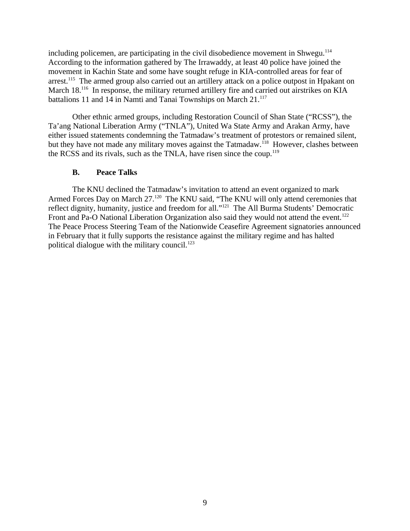including policemen, are participating in the civil disobedience movement in Shwegu.<sup>114</sup> According to the information gathered by The Irrawaddy, at least 40 police have joined the movement in Kachin State and some have sought refuge in KIA-controlled areas for fear of arrest.<sup>115</sup> The armed group also carried out an artillery attack on a police outpost in Hpakant on March 18.<sup>116</sup> In response, the military returned artillery fire and carried out airstrikes on KIA battalions 11 and 14 in Namti and Tanai Townships on March 21.<sup>117</sup>

Other ethnic armed groups, including Restoration Council of Shan State ("RCSS"), the Ta'ang National Liberation Army ("TNLA"), United Wa State Army and Arakan Army, have either issued statements condemning the Tatmadaw's treatment of protestors or remained silent, but they have not made any military moves against the Tatmadaw.<sup>118</sup> However, clashes between the RCSS and its rivals, such as the TNLA, have risen since the coup.<sup>119</sup>

### <span id="page-8-0"></span>**B. Peace Talks**

The KNU declined the Tatmadaw's invitation to attend an event organized to mark Armed Forces Day on March 27.<sup>120</sup> The KNU said, "The KNU will only attend ceremonies that reflect dignity, humanity, justice and freedom for all."<sup>121</sup> The All Burma Students' Democratic Front and Pa-O National Liberation Organization also said they would not attend the event.<sup>122</sup> The Peace Process Steering Team of the Nationwide Ceasefire Agreement signatories announced in February that it fully supports the resistance against the military regime and has halted political dialogue with the military council. $123$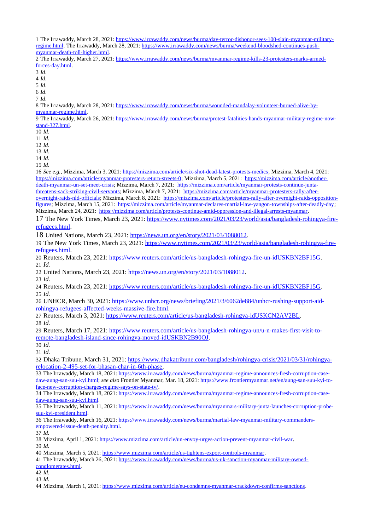The Irrawaddy, March 28, 2021: [https://www.irrawaddy.com/news/burma/day-terror-dishonor-sees-100-slain-myanmar-military](https://www.irrawaddy.com/news/burma/day-terror-dishonor-sees-100-slain-myanmar-military-regime.html)[regime.html;](https://www.irrawaddy.com/news/burma/day-terror-dishonor-sees-100-slain-myanmar-military-regime.html) The Irrawaddy, March 28, 2021: [https://www.irrawaddy.com/news/burma/weekend-bloodshed-continues-push](https://www.irrawaddy.com/news/burma/weekend-bloodshed-continues-push-myanmar-death-toll-higher.html)[myanmar-death-toll-higher.html.](https://www.irrawaddy.com/news/burma/weekend-bloodshed-continues-push-myanmar-death-toll-higher.html)

 The Irrawaddy, March 27, 2021: [https://www.irrawaddy.com/news/burma/myanmar-regime-kills-23-protesters-marks-armed](https://www.irrawaddy.com/news/burma/myanmar-regime-kills-23-protesters-marks-armed-forces-day.html)[forces-day.html.](https://www.irrawaddy.com/news/burma/myanmar-regime-kills-23-protesters-marks-armed-forces-day.html)

*Id*.

*Id*.

*Id*.

*Id*.

*Id*.

 The Irrawaddy, March 28, 2021: [https://www.irrawaddy.com/news/burma/wounded-mandalay-volunteer-burned-alive-by](https://www.irrawaddy.com/news/burma/wounded-mandalay-volunteer-burned-alive-by-myanmar-regime.html)[myanmar-regime.html.](https://www.irrawaddy.com/news/burma/wounded-mandalay-volunteer-burned-alive-by-myanmar-regime.html)

 The Irrawaddy, March 26, 2021: [https://www.irrawaddy.com/news/burma/protest-fatalities-hands-myanmar-military-regime-now](https://www.irrawaddy.com/news/burma/protest-fatalities-hands-myanmar-military-regime-now-stand-327.html)[stand-327.html.](https://www.irrawaddy.com/news/burma/protest-fatalities-hands-myanmar-military-regime-now-stand-327.html)

*Id*.

*Id*.

*Id*.

*Id*.

*Id*.

*Id*.

 *See e.g.*, Mizzima, March 3, 2021: [https://mizzima.com/article/six-shot-dead-latest-protests-medics;](https://mizzima.com/article/six-shot-dead-latest-protests-medics) Mizzima, March 4, 2021: [https://mizzima.com/article/myanmar-protesters-return-streets-0;](https://mizzima.com/article/myanmar-protesters-return-streets-0) Mizzima, March 5, 2021: [https://mizzima.com/article/another](https://mizzima.com/article/another-death-myanmar-un-set-meet-crisis)[death-myanmar-un-set-meet-crisis;](https://mizzima.com/article/another-death-myanmar-un-set-meet-crisis) Mizzima, March 7, 2021: [https://mizzima.com/article/myanmar-protests-continue-junta](https://mizzima.com/article/myanmar-protests-continue-junta-threatens-sack-striking-civil-servants)[threatens-sack-striking-civil-servants;](https://mizzima.com/article/myanmar-protests-continue-junta-threatens-sack-striking-civil-servants) Mizzima, March 7, 2021: [https://mizzima.com/article/myanmar-protesters-rally-after](https://mizzima.com/article/myanmar-protesters-rally-after-overnight-raids-nld-officials)[overnight-raids-nld-officials;](https://mizzima.com/article/myanmar-protesters-rally-after-overnight-raids-nld-officials) Mizzima, March 8, 2021: [https://mizzima.com/article/protesters-rally-after-overnight-raids-opposition](https://mizzima.com/article/protesters-rally-after-overnight-raids-opposition-figures)[figures;](https://mizzima.com/article/protesters-rally-after-overnight-raids-opposition-figures) Mizzima, March 15, 2021: [https://mizzima.com/article/myanmar-declares-martial-law-yangon-townships-after-deadly-day;](https://mizzima.com/article/myanmar-declares-martial-law-yangon-townships-after-deadly-day) Mizzima, March 24, 2021: [https://mizzima.com/article/protests-continue-amid-oppression-and-illegal-arrests-myanmar.](https://mizzima.com/article/protests-continue-amid-oppression-and-illegal-arrests-myanmar)

 The New York Times, March 23, 2021: [https://www.nytimes.com/2021/03/23/world/asia/bangladesh-rohingya-fire](https://www.nytimes.com/2021/03/23/world/asia/bangladesh-rohingya-fire-refugees.html)[refugees.html.](https://www.nytimes.com/2021/03/23/world/asia/bangladesh-rohingya-fire-refugees.html)

United Nations, March 23, 2021: [https://news.un.org/en/story/2021/03/1088012.](https://news.un.org/en/story/2021/03/1088012)

 The New York Times, March 23, 2021: [https://www.nytimes.com/2021/03/23/world/asia/bangladesh-rohingya-fire](https://www.nytimes.com/2021/03/23/world/asia/bangladesh-rohingya-fire-refugees.html)[refugees.html.](https://www.nytimes.com/2021/03/23/world/asia/bangladesh-rohingya-fire-refugees.html)

 Reuters, March 23, 2021: [https://www.reuters.com/article/us-bangladesh-rohingya-fire-un-idUSKBN2BF15G.](https://www.reuters.com/article/us-bangladesh-rohingya-fire-un-idUSKBN2BF15G) *Id.*

22 United Nations, March 23, 2021: [https://news.un.org/en/story/2021/03/1088012.](https://news.un.org/en/story/2021/03/1088012)

*Id.*

 Reuters, March 23, 2021: [https://www.reuters.com/article/us-bangladesh-rohingya-fire-un-idUSKBN2BF15G.](https://www.reuters.com/article/us-bangladesh-rohingya-fire-un-idUSKBN2BF15G) *Id.*

26 UNHCR, March 30, 2021: [https://www.unhcr.org/news/briefing/2021/3/6062de884/unhcr-rushing-support-aid](https://www.unhcr.org/news/briefing/2021/3/6062de884/unhcr-rushing-support-aid-rohingya-refugees-affected-weeks-massive-fire.html)[rohingya-refugees-affected-weeks-massive-fire.html.](https://www.unhcr.org/news/briefing/2021/3/6062de884/unhcr-rushing-support-aid-rohingya-refugees-affected-weeks-massive-fire.html)

 Reuters, March 3, 2021: [https://www.reuters.com/article/us-bangladesh-rohingya-idUSKCN2AV2BL.](https://www.reuters.com/article/us-bangladesh-rohingya-idUSKCN2AV2BL) *Id.*

 Reuters, March 17, 2021: [https://www.reuters.com/article/us-bangladesh-rohingya-un/u-n-makes-first-visit-to](https://www.reuters.com/article/us-bangladesh-rohingya-un/u-n-makes-first-visit-to-remote-bangladesh-island-since-rohingya-moved-idUSKBN2B90OJ)[remote-bangladesh-island-since-rohingya-moved-idUSKBN2B90OJ.](https://www.reuters.com/article/us-bangladesh-rohingya-un/u-n-makes-first-visit-to-remote-bangladesh-island-since-rohingya-moved-idUSKBN2B90OJ)

*Id.*

*Id.*

 Dhaka Tribune, March 31, 2021: [https://www.dhakatribune.com/bangladesh/rohingya-crisis/2021/03/31/rohingya](https://www.dhakatribune.com/bangladesh/rohingya-crisis/2021/03/31/rohingya-relocation-2-495-set-for-bhasan-char-in-6th-phase)[relocation-2-495-set-for-bhasan-char-in-6th-phase.](https://www.dhakatribune.com/bangladesh/rohingya-crisis/2021/03/31/rohingya-relocation-2-495-set-for-bhasan-char-in-6th-phase)

33 The Irrawaddy, March 18, 2021: [https://www.irrawaddy.com/news/burma/myanmar-regime-announces-fresh-corruption-case](https://www.irrawaddy.com/news/burma/myanmar-regime-announces-fresh-corruption-case-daw-aung-san-suu-kyi.html)[daw-aung-san-suu-kyi.html;](https://www.irrawaddy.com/news/burma/myanmar-regime-announces-fresh-corruption-case-daw-aung-san-suu-kyi.html) *see also* Frontier Myanmar, Mar. 18, 2021: [https://www.frontiermyanmar.net/en/aung-san-suu-kyi-to](https://www.frontiermyanmar.net/en/aung-san-suu-kyi-to-face-new-corruption-charges-regime-says-on-state-tv/)[face-new-corruption-charges-regime-says-on-state-tv/.](https://www.frontiermyanmar.net/en/aung-san-suu-kyi-to-face-new-corruption-charges-regime-says-on-state-tv/)

 The Irrawaddy, March 18, 2021: [https://www.irrawaddy.com/news/burma/myanmar-regime-announces-fresh-corruption-case](https://www.irrawaddy.com/news/burma/myanmar-regime-announces-fresh-corruption-case-daw-aung-san-suu-kyi.html)[daw-aung-san-suu-kyi.html.](https://www.irrawaddy.com/news/burma/myanmar-regime-announces-fresh-corruption-case-daw-aung-san-suu-kyi.html)

 The Irrawaddy, March 11, 2021: [https://www.irrawaddy.com/news/burma/myanmars-military-junta-launches-corruption-probe](https://www.irrawaddy.com/news/burma/myanmars-military-junta-launches-corruption-probe-suu-kyi-president.html)[suu-kyi-president.html.](https://www.irrawaddy.com/news/burma/myanmars-military-junta-launches-corruption-probe-suu-kyi-president.html)

 The Irrawaddy, March 16, 2021: [https://www.irrawaddy.com/news/burma/martial-law-myanmar-military-commanders](https://www.irrawaddy.com/news/burma/martial-law-myanmar-military-commanders-empowered-issue-death-penalty.html)[empowered-issue-death-penalty.html.](https://www.irrawaddy.com/news/burma/martial-law-myanmar-military-commanders-empowered-issue-death-penalty.html)

*Id.*

Mizzima, April 1, 2021: [https://www.mizzima.com/article/un-envoy-urges-action-prevent-myanmar-civil-war.](https://www.mizzima.com/article/un-envoy-urges-action-prevent-myanmar-civil-war)

*Id.*

Mizzima, March 5, 2021: [https://www.mizzima.com/article/us-tightens-export-controls-myanmar.](https://www.mizzima.com/article/us-tightens-export-controls-myanmar)

 The Irrawaddy, March 26, 2021: [https://www.irrawaddy.com/news/burma/us-uk-sanction-myanmar-military-owned](https://www.irrawaddy.com/news/burma/us-uk-sanction-myanmar-military-owned-conglomerates.html)[conglomerates.html.](https://www.irrawaddy.com/news/burma/us-uk-sanction-myanmar-military-owned-conglomerates.html)

*Id.*

*Id.*

Mizzima, March 1, 2021: [https://www.mizzima.com/article/eu-condemns-myanmar-crackdown-confirms-sanctions.](https://www.mizzima.com/article/eu-condemns-myanmar-crackdown-confirms-sanctions)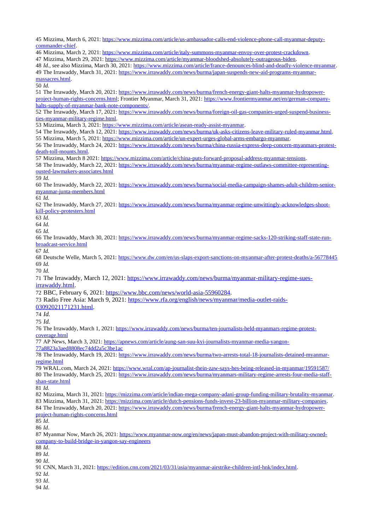Mizzima, March 6, 2021: [https://www.mizzima.com/article/us-ambassador-calls-end-violence-phone-call-myanmar-deputy](https://www.mizzima.com/article/us-ambassador-calls-end-violence-phone-call-myanmar-deputy-commander-chief)[commander-chief.](https://www.mizzima.com/article/us-ambassador-calls-end-violence-phone-call-myanmar-deputy-commander-chief)

 Mizzima, March 2, 2021: [https://www.mizzima.com/article/italy-summons-myanmar-envoy-over-protest-crackdown.](https://www.mizzima.com/article/italy-summons-myanmar-envoy-over-protest-crackdown) Mizzima, March 29, 2021: [https://www.mizzima.com/article/myanmar-bloodshed-absolutely-outrageous-biden.](https://www.mizzima.com/article/myanmar-bloodshed-absolutely-outrageous-biden) *Id.*, see also Mizzima, March 30, 2021: [https://www.mizzima.com/article/france-denounces-blind-and-deadly-violence-myanmar.](https://www.mizzima.com/article/france-denounces-blind-and-deadly-violence-myanmar) The Irrawaddy, March 31, 2021: [https://www.irrawaddy.com/news/burma/japan-suspends-new-aid-programs-myanmar](https://www.irrawaddy.com/news/burma/japan-suspends-new-aid-programs-myanmar-massacres.html)[massacres.html.](https://www.irrawaddy.com/news/burma/japan-suspends-new-aid-programs-myanmar-massacres.html) *Id.* The Irrawaddy, March 20, 2021: [https://www.irrawaddy.com/news/burma/french-energy-giant-halts-myanmar-hydropower](https://www.irrawaddy.com/news/burma/french-energy-giant-halts-myanmar-hydropower-project-human-rights-concerns.html)[project-human-rights-concerns.html;](https://www.irrawaddy.com/news/burma/french-energy-giant-halts-myanmar-hydropower-project-human-rights-concerns.html) Frontier Myanmar, March 31, 2021: [https://www.frontiermyanmar.net/en/german-company](https://www.frontiermyanmar.net/en/german-company-halts-supply-of-myanmar-bank-note-components/)[halts-supply-of-myanmar-bank-note-components/.](https://www.frontiermyanmar.net/en/german-company-halts-supply-of-myanmar-bank-note-components/) The Irrawaddy, March 17, 2021: [https://www.irrawaddy.com/news/burma/foreign-oil-gas-companies-urged-suspend-business](https://www.irrawaddy.com/news/burma/foreign-oil-gas-companies-urged-suspend-business-ties-myanmar-military-regime.html)[ties-myanmar-military-regime.html.](https://www.irrawaddy.com/news/burma/foreign-oil-gas-companies-urged-suspend-business-ties-myanmar-military-regime.html) Mizzima, March 3, 2021: [https://www.mizzima.com/article/asean-ready-assist-myanmar.](https://www.mizzima.com/article/asean-ready-assist-myanmar) The Irrawaddy, March 12, 2021: [https://www.irrawaddy.com/news/burma/uk-asks-citizens-leave-military-ruled-myanmar.html.](https://www.irrawaddy.com/news/burma/uk-asks-citizens-leave-military-ruled-myanmar.html) Mizzima, March 5, 2021: [https://www.mizzima.com/article/un-expert-urges-global-arms-embargo-myanmar.](https://www.mizzima.com/article/un-expert-urges-global-arms-embargo-myanmar) The Irrawaddy, March 24, 2021: [https://www.irrawaddy.com/news/burma/china-russia-express-deep-concern-myanmars-protest](https://www.irrawaddy.com/news/burma/china-russia-express-deep-concern-myanmars-protest-death-toll-mounts.html)[death-toll-mounts.html.](https://www.irrawaddy.com/news/burma/china-russia-express-deep-concern-myanmars-protest-death-toll-mounts.html) Mizzima, March 8 2021: [https://www.mizzima.com/article/china-puts-forward-proposal-address-myanmar-tensions.](https://www.mizzima.com/article/china-puts-forward-proposal-address-myanmar-tensions) The Irrawaddy, March 22, 2021: [https://www.irrawaddy.com/news/burma/myanmar-regime-outlaws-committee-representing](https://www.irrawaddy.com/news/burma/myanmar-regime-outlaws-committee-representing-ousted-lawmakers-associates.html)[ousted-lawmakers-associates.html](https://www.irrawaddy.com/news/burma/myanmar-regime-outlaws-committee-representing-ousted-lawmakers-associates.html) *Id.* The Irrawaddy, March 22, 2021: [https://www.irrawaddy.com/news/burma/social-media-campaign-shames-adult-children-senior](https://www.irrawaddy.com/news/burma/social-media-campaign-shames-adult-children-senior-myanmar-junta-members.html)[myanmar-junta-members.html](https://www.irrawaddy.com/news/burma/social-media-campaign-shames-adult-children-senior-myanmar-junta-members.html) *Id.* The Irrawaddy, March 27, 2021: [https://www.irrawaddy.com/news/burma/myanmar-regime-unwittingly-acknowledges-shoot](https://www.irrawaddy.com/news/burma/myanmar-regime-unwittingly-acknowledges-shoot-kill-policy-protesters.html)[kill-policy-protesters.html](https://www.irrawaddy.com/news/burma/myanmar-regime-unwittingly-acknowledges-shoot-kill-policy-protesters.html) *Id. Id. Id.* The Irrawaddy, March 30, 2021: [https://www.irrawaddy.com/news/burma/myanmar-regime-sacks-120-striking-staff-state-run](https://www.irrawaddy.com/news/burma/myanmar-regime-sacks-120-striking-staff-state-run-broadcast-service.html)[broadcast-service.html](https://www.irrawaddy.com/news/burma/myanmar-regime-sacks-120-striking-staff-state-run-broadcast-service.html) *Id.* Deutsche Welle, March 5, 2021:<https://www.dw.com/en/us-slaps-export-sanctions-on-myanmar-after-protest-deaths/a-56778445> *Id. Id.* The Irrawaddy, March 12, 2021: [https://www.irrawaddy.com/news/burma/myanmar-military-regime-sues](https://www.irrawaddy.com/news/burma/myanmar-military-regime-sues-irrawaddy.html)[irrawaddy.html.](https://www.irrawaddy.com/news/burma/myanmar-military-regime-sues-irrawaddy.html) BBC, February 6, 2021: [https://www.bbc.com/news/world-asia-55960284.](https://www.bbc.com/news/world-asia-55960284) 73 Radio Free Asia: March 9, 2021: [https://www.rfa.org/english/news/myanmar/media-outlet-raids-](https://www.rfa.org/english/news/myanmar/media-outlet-raids-03092021171231.html)[03092021171231.html.](https://www.rfa.org/english/news/myanmar/media-outlet-raids-03092021171231.html) *Id. Id.* The Irrawaddy, March 1, 2021: [https://www.irrawaddy.com/news/burma/ten-journalists-held-myanmars-regime-protest](https://www.irrawaddy.com/news/burma/ten-journalists-held-myanmars-regime-protest-coverage.html)[coverage.html](https://www.irrawaddy.com/news/burma/ten-journalists-held-myanmars-regime-protest-coverage.html) AP News, March 3, 2021: [https://apnews.com/article/aung-san-suu-kyi-journalists-myanmar-media-yangon-](https://apnews.com/article/aung-san-suu-kyi-journalists-myanmar-media-yangon-77a8823a3aed8808ec74dd2a5c3be1ac)[77a8823a3aed8808ec74dd2a5c3be1ac](https://apnews.com/article/aung-san-suu-kyi-journalists-myanmar-media-yangon-77a8823a3aed8808ec74dd2a5c3be1ac) The Irrawaddy, March 19, 2021: [https://www.irrawaddy.com/news/burma/two-arrests-total-18-journalists-detained-myanmar](https://www.irrawaddy.com/news/burma/two-arrests-total-18-journalists-detained-myanmar-regime.html)[regime.html](https://www.irrawaddy.com/news/burma/two-arrests-total-18-journalists-detained-myanmar-regime.html) WRAL.com, March 24, 2021:<https://www.wral.com/ap-journalist-thein-zaw-says-hes-being-released-in-myanmar/19591587/> The Irrawaddy, March 25, 2021: [https://www.irrawaddy.com/news/burma/myanmars-military-regime-arrests-four-media-staff](https://www.irrawaddy.com/news/burma/myanmars-military-regime-arrests-four-media-staff-shan-state.html)[shan-state.html](https://www.irrawaddy.com/news/burma/myanmars-military-regime-arrests-four-media-staff-shan-state.html) *Id.* Mizzima, March 31, 2021: [https://mizzima.com/article/indian-mega-company-adani-group-funding-military-brutality-myanmar.](https://mizzima.com/article/indian-mega-company-adani-group-funding-military-brutality-myanmar) Mizzima, March 31, 2021: [https://mizzima.com/article/dutch-pensions-funds-invest-23-billion-myanmar-military-companies.](https://mizzima.com/article/dutch-pensions-funds-invest-23-billion-myanmar-military-companies) 84 The Irrawaddy, March 20, 2021: [https://www.irrawaddy.com/news/burma/french-energy-giant-halts-myanmar-hydropower](https://www.irrawaddy.com/news/burma/french-energy-giant-halts-myanmar-hydropower-project-human-rights-concerns.html)[project-human-rights-concerns.html](https://www.irrawaddy.com/news/burma/french-energy-giant-halts-myanmar-hydropower-project-human-rights-concerns.html) *Id*. *Id*. 87 Myanmar Now, March 26, 2021: [https://www.myanmar-now.org/en/news/japan-must-abandon-project-with-military-owned](https://www.myanmar-now.org/en/news/japan-must-abandon-project-with-military-owned-company-to-build-bridge-in-yangon-say-engineers)[company-to-build-bridge-in-yangon-say-engineers](https://www.myanmar-now.org/en/news/japan-must-abandon-project-with-military-owned-company-to-build-bridge-in-yangon-say-engineers) *Id*. *Id*. *Id*. CNN, March 31, 2021: [https://edition.cnn.com/2021/03/31/asia/myanmar-airstrike-children-intl-hnk/index.html.](https://edition.cnn.com/2021/03/31/asia/myanmar-airstrike-children-intl-hnk/index.html) *Id*. *Id*. *Id*.